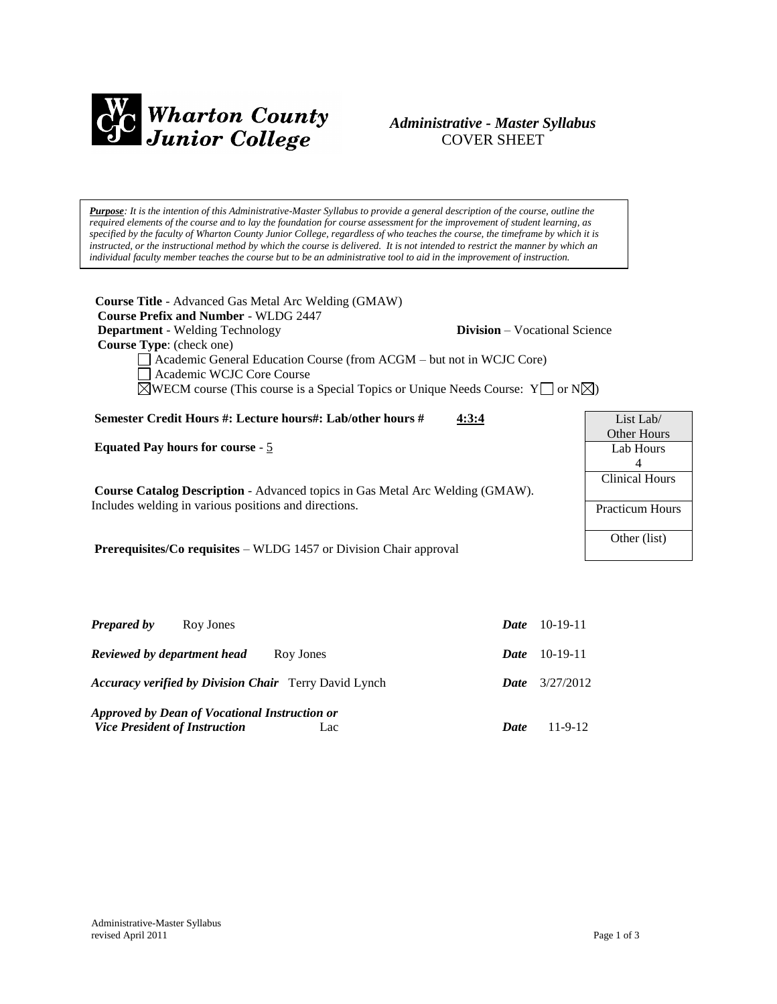

# *Administrative - Master Syllabus*  COVER SHEET

*Purpose: It is the intention of this Administrative-Master Syllabus to provide a general description of the course, outline the required elements of the course and to lay the foundation for course assessment for the improvement of student learning, as specified by the faculty of Wharton County Junior College, regardless of who teaches the course, the timeframe by which it is*  instructed, or the instructional method by which the course is delivered. It is not intended to restrict the manner by which an *individual faculty member teaches the course but to be an administrative tool to aid in the improvement of instruction.*

| <b>Course Title</b> - Advanced Gas Metal Arc Welding (GMAW)<br><b>Course Prefix and Number - WLDG 2447</b><br><b>Department</b> - Welding Technology<br><b>Course Type:</b> (check one)<br>Academic General Education Course (from ACGM – but not in WCJC Core)<br>Academic WCJC Core Course<br>$\triangle$ WECM course (This course is a Special Topics or Unique Needs Course: Y or N $\triangle$ ) | <b>Division</b> – Vocational Science |                        |
|-------------------------------------------------------------------------------------------------------------------------------------------------------------------------------------------------------------------------------------------------------------------------------------------------------------------------------------------------------------------------------------------------------|--------------------------------------|------------------------|
| Semester Credit Hours #: Lecture hours#: Lab/other hours #                                                                                                                                                                                                                                                                                                                                            | 4:3:4                                | List Lab/              |
|                                                                                                                                                                                                                                                                                                                                                                                                       |                                      | Other Hours            |
| <b>Equated Pay hours for course - 5</b>                                                                                                                                                                                                                                                                                                                                                               |                                      | Lab Hours              |
|                                                                                                                                                                                                                                                                                                                                                                                                       |                                      | 4                      |
|                                                                                                                                                                                                                                                                                                                                                                                                       |                                      | Clinical Hours         |
| <b>Course Catalog Description</b> - Advanced topics in Gas Metal Arc Welding (GMAW).                                                                                                                                                                                                                                                                                                                  |                                      |                        |
| Includes welding in various positions and directions.                                                                                                                                                                                                                                                                                                                                                 |                                      | <b>Practicum Hours</b> |
| <b>Prerequisites/Co requisites – WLDG</b> 1457 or Division Chair approval                                                                                                                                                                                                                                                                                                                             |                                      | Other (list)           |
|                                                                                                                                                                                                                                                                                                                                                                                                       |                                      |                        |

| <b>Prepared by</b><br>Roy Jones                                                              | <b>Date</b> | $10-19-11$ |
|----------------------------------------------------------------------------------------------|-------------|------------|
| Reviewed by department head<br>Roy Jones                                                     | Date        | 10-19-11   |
| <b>Accuracy verified by Division Chair</b> Terry David Lynch                                 | <b>Date</b> | 3/27/2012  |
| Approved by Dean of Vocational Instruction or<br><b>Vice President of Instruction</b><br>Lac | Date        | $11-9-12$  |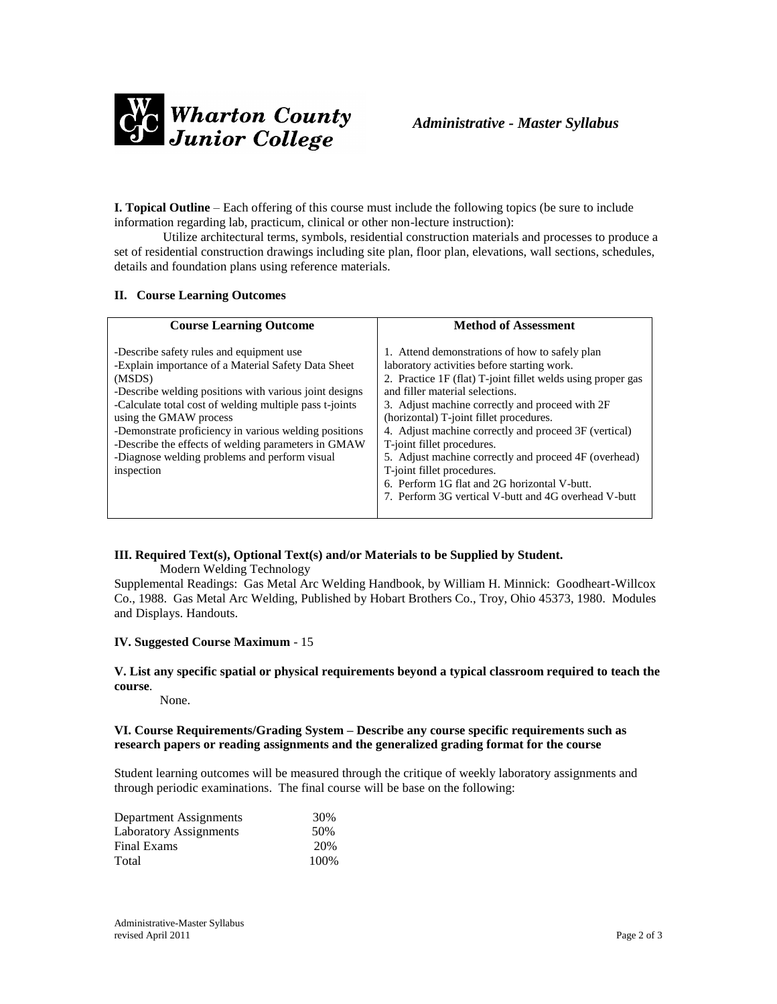

**I. Topical Outline** – Each offering of this course must include the following topics (be sure to include information regarding lab, practicum, clinical or other non-lecture instruction):

Utilize architectural terms, symbols, residential construction materials and processes to produce a set of residential construction drawings including site plan, floor plan, elevations, wall sections, schedules, details and foundation plans using reference materials.

### **II. Course Learning Outcomes**

| <b>Course Learning Outcome</b>                                                                                                                                                                                                                                                                                                                                                                                                          | <b>Method of Assessment</b>                                                                                                                                                                                                                                                                                                                                                                                                                                                                                                                                                         |
|-----------------------------------------------------------------------------------------------------------------------------------------------------------------------------------------------------------------------------------------------------------------------------------------------------------------------------------------------------------------------------------------------------------------------------------------|-------------------------------------------------------------------------------------------------------------------------------------------------------------------------------------------------------------------------------------------------------------------------------------------------------------------------------------------------------------------------------------------------------------------------------------------------------------------------------------------------------------------------------------------------------------------------------------|
| -Describe safety rules and equipment use<br>-Explain importance of a Material Safety Data Sheet<br>(MSDS)<br>-Describe welding positions with various joint designs<br>-Calculate total cost of welding multiple pass t-joints<br>using the GMAW process<br>-Demonstrate proficiency in various welding positions<br>-Describe the effects of welding parameters in GMAW<br>-Diagnose welding problems and perform visual<br>inspection | 1. Attend demonstrations of how to safely plan<br>laboratory activities before starting work.<br>2. Practice 1F (flat) T-joint fillet welds using proper gas<br>and filler material selections.<br>3. Adjust machine correctly and proceed with 2F<br>(horizontal) T-joint fillet procedures.<br>4. Adjust machine correctly and proceed 3F (vertical)<br>T-joint fillet procedures.<br>5. Adjust machine correctly and proceed 4F (overhead)<br>T-joint fillet procedures.<br>6. Perform 1G flat and 2G horizontal V-butt.<br>7. Perform 3G vertical V-butt and 4G overhead V-butt |

### **III. Required Text(s), Optional Text(s) and/or Materials to be Supplied by Student.**

Modern Welding Technology

Supplemental Readings: Gas Metal Arc Welding Handbook, by William H. Minnick: Goodheart-Willcox Co., 1988. Gas Metal Arc Welding, Published by Hobart Brothers Co., Troy, Ohio 45373, 1980. Modules and Displays. Handouts.

### **IV. Suggested Course Maximum** - 15

#### **V. List any specific spatial or physical requirements beyond a typical classroom required to teach the course**.

None.

## **VI. Course Requirements/Grading System – Describe any course specific requirements such as research papers or reading assignments and the generalized grading format for the course**

Student learning outcomes will be measured through the critique of weekly laboratory assignments and through periodic examinations. The final course will be base on the following:

| Department Assignments        | 30%  |
|-------------------------------|------|
| <b>Laboratory Assignments</b> | 50%  |
| Final Exams                   | 20%  |
| Total                         | 100% |